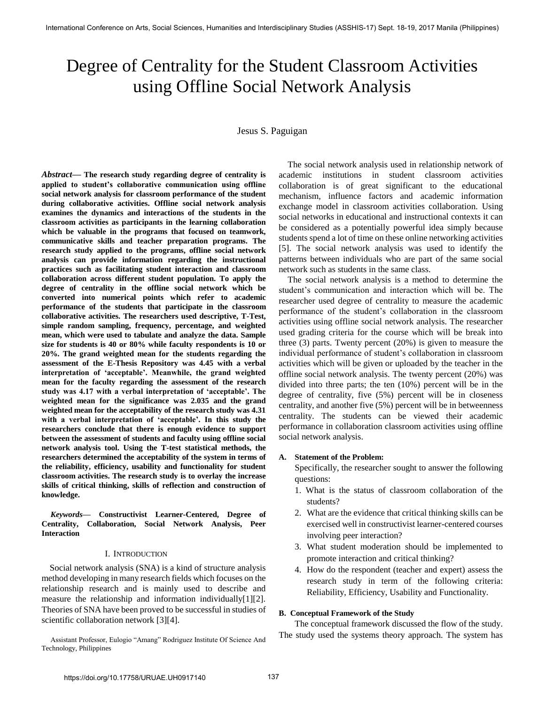# Degree of Centrality for the Student Classroom Activities using Offline Social Network Analysis

# Jesus S. Paguigan

*Abstract***— The research study regarding degree of centrality is applied to student's collaborative communication using offline social network analysis for classroom performance of the student during collaborative activities. Offline social network analysis examines the dynamics and interactions of the students in the classroom activities as participants in the learning collaboration which be valuable in the programs that focused on teamwork, communicative skills and teacher preparation programs. The research study applied to the programs, offline social network analysis can provide information regarding the instructional practices such as facilitating student interaction and classroom collaboration across different student population. To apply the degree of centrality in the offline social network which be converted into numerical points which refer to academic performance of the students that participate in the classroom collaborative activities. The researchers used descriptive, T-Test, simple random sampling, frequency, percentage, and weighted mean, which were used to tabulate and analyze the data. Sample size for students is 40 or 80% while faculty respondents is 10 or 20%. The grand weighted mean for the students regarding the assessment of the E-Thesis Repository was 4.45 with a verbal interpretation of 'acceptable'. Meanwhile, the grand weighted mean for the faculty regarding the assessment of the research study was 4.17 with a verbal interpretation of 'acceptable'. The weighted mean for the significance was 2.035 and the grand weighted mean for the acceptability of the research study was 4.31 with a verbal interpretation of 'acceptable'. In this study the researchers conclude that there is enough evidence to support between the assessment of students and faculty using offline social network analysis tool. Using the T-test statistical methods, the researchers determined the acceptability of the system in terms of the reliability, efficiency, usability and functionality for student classroom activities. The research study is to overlay the increase skills of critical thinking, skills of reflection and construction of knowledge.**

*Keywords***— Constructivist Learner-Centered, Degree of Centrality, Collaboration, Social Network Analysis, Peer Interaction** 

#### I. INTRODUCTION

 Social network analysis (SNA) is a kind of structure analysis method developing in many research fields which focuses on the relationship research and is mainly used to describe and measure the relationship and information individually[1][2]. Theories of SNA have been proved to be successful in studies of scientific collaboration network [3][4].

Assistant Professor, Eulogio "Amang" Rodriguez Institute Of Science And Technology, Philippines

The social network analysis used in relationship network of academic institutions in student classroom activities collaboration is of great significant to the educational mechanism, influence factors and academic information exchange model in classroom activities collaboration. Using social networks in educational and instructional contexts it can be considered as a potentially powerful idea simply because students spend a lot of time on these online networking activities [5]. The social network analysis was used to identify the patterns between individuals who are part of the same social network such as students in the same class.

 The social network analysis is a method to determine the student's communication and interaction which will be. The researcher used degree of centrality to measure the academic performance of the student's collaboration in the classroom activities using offline social network analysis. The researcher used grading criteria for the course which will be break into three (3) parts. Twenty percent (20%) is given to measure the individual performance of student's collaboration in classroom activities which will be given or uploaded by the teacher in the offline social network analysis. The twenty percent (20%) was divided into three parts; the ten (10%) percent will be in the degree of centrality, five (5%) percent will be in closeness centrality, and another five (5%) percent will be in betweenness centrality. The students can be viewed their academic performance in collaboration classroom activities using offline social network analysis.

#### **A. Statement of the Problem:**

Specifically, the researcher sought to answer the following questions:

- 1. What is the status of classroom collaboration of the students?
- 2. What are the evidence that critical thinking skills can be exercised well in constructivist learner-centered courses involving peer interaction?
- 3. What student moderation should be implemented to promote interaction and critical thinking?
- 4. How do the respondent (teacher and expert) assess the research study in term of the following criteria: Reliability, Efficiency, Usability and Functionality.

#### **B. Conceptual Framework of the Study**

The conceptual framework discussed the flow of the study. The study used the systems theory approach. The system has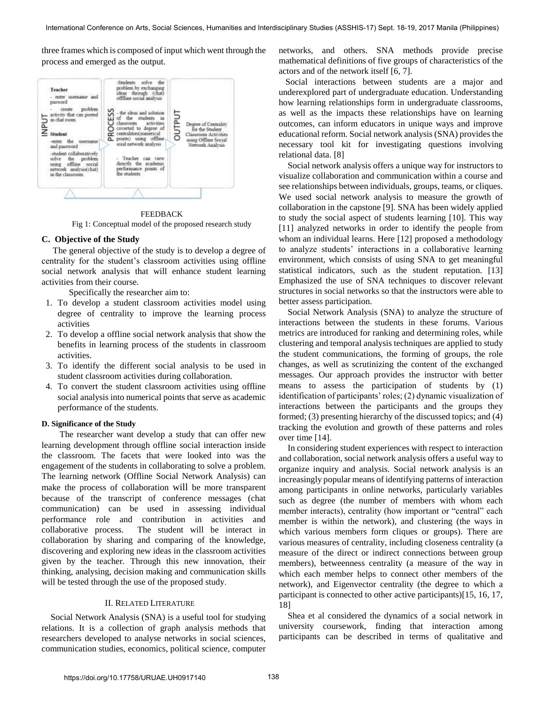three frames which is composed of input which went through the process and emerged as the output.



FEEDBACK Fig 1: Conceptual model of the proposed research study

## **C. Objective of the Study**

 The general objective of the study is to develop a degree of centrality for the student's classroom activities using offline social network analysis that will enhance student learning activities from their course.

Specifically the researcher aim to:

- 1. To develop a student classroom activities model using degree of centrality to improve the learning process activities
- 2. To develop a offline social network analysis that show the benefits in learning process of the students in classroom activities.
- 3. To identify the different social analysis to be used in student classroom activities during collaboration.
- 4. To convert the student classroom activities using offline social analysis into numerical points that serve as academic performance of the students.

#### **D. Significance of the Study**

 The researcher want develop a study that can offer new learning development through offline social interaction inside the classroom. The facets that were looked into was the engagement of the students in collaborating to solve a problem. The learning network (Offline Social Network Analysis) can make the process of collaboration will be more transparent because of the transcript of conference messages (chat communication) can be used in assessing individual performance role and contribution in activities and collaborative process. The student will be interact in collaboration by sharing and comparing of the knowledge, discovering and exploring new ideas in the classroom activities given by the teacher. Through this new innovation, their thinking, analysing, decision making and communication skills will be tested through the use of the proposed study.

#### II. RELATED LITERATURE

 Social Network Analysis (SNA) is a useful tool for studying relations. It is a collection of graph analysis methods that researchers developed to analyse networks in social sciences, communication studies, economics, political science, computer

networks, and others. SNA methods provide precise mathematical definitions of five groups of characteristics of the actors and of the network itself [6, 7].

 Social interactions between students are a major and underexplored part of undergraduate education. Understanding how learning relationships form in undergraduate classrooms, as well as the impacts these relationships have on learning outcomes, can inform educators in unique ways and improve educational reform. Social network analysis (SNA) provides the necessary tool kit for investigating questions involving relational data. [8]

 Social network analysis offers a unique way for instructors to visualize collaboration and communication within a course and see relationships between individuals, groups, teams, or cliques. We used social network analysis to measure the growth of collaboration in the capstone [9]. SNA has been widely applied to study the social aspect of students learning [10]. This way [11] analyzed networks in order to identify the people from whom an individual learns. Here [12] proposed a methodology to analyze students' interactions in a collaborative learning environment, which consists of using SNA to get meaningful statistical indicators, such as the student reputation. [13] Emphasized the use of SNA techniques to discover relevant structures in social networks so that the instructors were able to better assess participation.

 Social Network Analysis (SNA) to analyze the structure of interactions between the students in these forums. Various metrics are introduced for ranking and determining roles, while clustering and temporal analysis techniques are applied to study the student communications, the forming of groups, the role changes, as well as scrutinizing the content of the exchanged messages. Our approach provides the instructor with better means to assess the participation of students by (1) identification of participants' roles; (2) dynamic visualization of interactions between the participants and the groups they formed; (3) presenting hierarchy of the discussed topics; and (4) tracking the evolution and growth of these patterns and roles over time [14].

 In considering student experiences with respect to interaction and collaboration, social network analysis offers a useful way to organize inquiry and analysis. Social network analysis is an increasingly popular means of identifying patterns of interaction among participants in online networks, particularly variables such as degree (the number of members with whom each member interacts), centrality (how important or "central" each member is within the network), and clustering (the ways in which various members form cliques or groups). There are various measures of centrality, including closeness centrality (a measure of the direct or indirect connections between group members), betweenness centrality (a measure of the way in which each member helps to connect other members of the network), and Eigenvector centrality (the degree to which a participant is connected to other active participants)[15, 16, 17, 18]

 Shea et al considered the dynamics of a social network in university coursework, finding that interaction among participants can be described in terms of qualitative and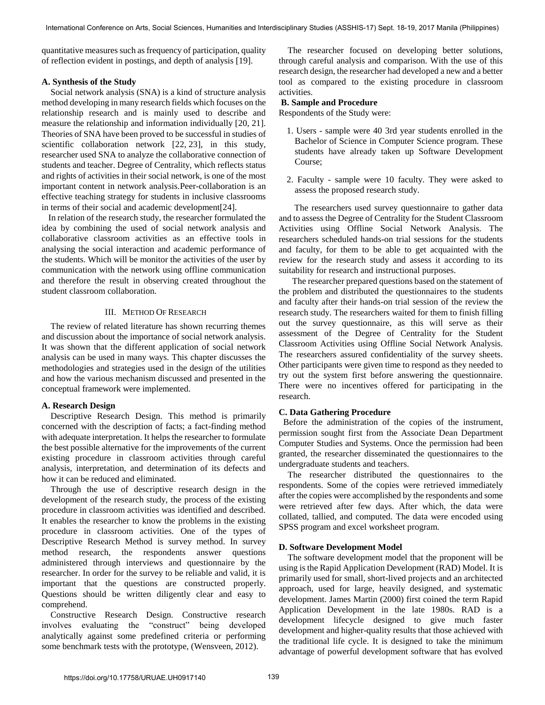quantitative measures such as frequency of participation, quality of reflection evident in postings, and depth of analysis [19].

## **A. Synthesis of the Study**

Social network analysis (SNA) is a kind of structure analysis method developing in many research fields which focuses on the relationship research and is mainly used to describe and measure the relationship and information individually [20, 21]. Theories of SNA have been proved to be successful in studies of scientific collaboration network [22, 23], in this study, researcher used SNA to analyze the collaborative connection of students and teacher. Degree of Centrality, which reflects status and rights of activities in their social network, is one of the most important content in network analysis.Peer-collaboration is an effective teaching strategy for students in inclusive classrooms in terms of their social and academic development[24].

 In relation of the research study, the researcher formulated the idea by combining the used of social network analysis and collaborative classroom activities as an effective tools in analysing the social interaction and academic performance of the students. Which will be monitor the activities of the user by communication with the network using offline communication and therefore the result in observing created throughout the student classroom collaboration.

## III. METHOD OF RESEARCH

The review of related literature has shown recurring themes and discussion about the importance of social network analysis. It was shown that the different application of social network analysis can be used in many ways. This chapter discusses the methodologies and strategies used in the design of the utilities and how the various mechanism discussed and presented in the conceptual framework were implemented.

#### **A. Research Design**

Descriptive Research Design. This method is primarily concerned with the description of facts; a fact-finding method with adequate interpretation. It helps the researcher to formulate the best possible alternative for the improvements of the current existing procedure in classroom activities through careful analysis, interpretation, and determination of its defects and how it can be reduced and eliminated.

Through the use of descriptive research design in the development of the research study, the process of the existing procedure in classroom activities was identified and described. It enables the researcher to know the problems in the existing procedure in classroom activities. One of the types of Descriptive Research Method is survey method. In survey method research, the respondents answer questions administered through interviews and questionnaire by the researcher. In order for the survey to be reliable and valid, it is important that the questions are constructed properly. Questions should be written diligently clear and easy to comprehend.

Constructive Research Design. Constructive research involves evaluating the "construct" being developed analytically against some predefined criteria or performing some benchmark tests with the prototype, (Wensveen, 2012).

The researcher focused on developing better solutions, through careful analysis and comparison. With the use of this research design, the researcher had developed a new and a better tool as compared to the existing procedure in classroom activities.

#### **B. Sample and Procedure**

Respondents of the Study were:

- 1. Users sample were 40 3rd year students enrolled in the Bachelor of Science in Computer Science program. These students have already taken up Software Development Course;
- 2. Faculty sample were 10 faculty. They were asked to assess the proposed research study.

 The researchers used survey questionnaire to gather data and to assess the Degree of Centrality for the Student Classroom Activities using Offline Social Network Analysis. The researchers scheduled hands-on trial sessions for the students and faculty, for them to be able to get acquainted with the review for the research study and assess it according to its suitability for research and instructional purposes.

 The researcher prepared questions based on the statement of the problem and distributed the questionnaires to the students and faculty after their hands-on trial session of the review the research study. The researchers waited for them to finish filling out the survey questionnaire, as this will serve as their assessment of the Degree of Centrality for the Student Classroom Activities using Offline Social Network Analysis. The researchers assured confidentiality of the survey sheets. Other participants were given time to respond as they needed to try out the system first before answering the questionnaire. There were no incentives offered for participating in the research.

## **C. Data Gathering Procedure**

 Before the administration of the copies of the instrument, permission sought first from the Associate Dean Department Computer Studies and Systems. Once the permission had been granted, the researcher disseminated the questionnaires to the undergraduate students and teachers.

The researcher distributed the questionnaires to the respondents. Some of the copies were retrieved immediately after the copies were accomplished by the respondents and some were retrieved after few days. After which, the data were collated, tallied, and computed. The data were encoded using SPSS program and excel worksheet program.

#### **D. Software Development Model**

The software development model that the proponent will be using is the Rapid Application Development (RAD) Model. It is primarily used for small, short-lived projects and an architected approach, used for large, heavily designed, and systematic development. James Martin (2000) first coined the term Rapid Application Development in the late 1980s. RAD is a development lifecycle designed to give much faster development and higher-quality results that those achieved with the traditional life cycle. It is designed to take the minimum advantage of powerful development software that has evolved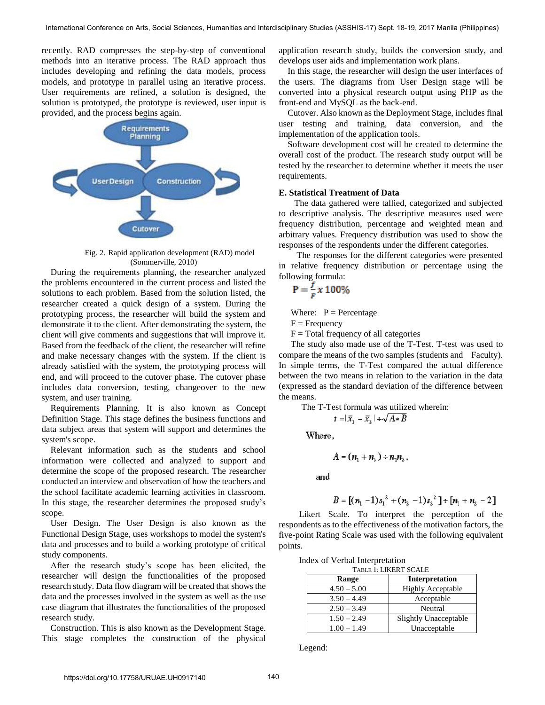recently. RAD compresses the step-by-step of conventional methods into an iterative process. The RAD approach thus includes developing and refining the data models, process models, and prototype in parallel using an iterative process. User requirements are refined, a solution is designed, the solution is prototyped, the prototype is reviewed, user input is provided, and the process begins again.



Fig. 2. Rapid application development (RAD) model (Sommerville, 2010)

During the requirements planning, the researcher analyzed the problems encountered in the current process and listed the solutions to each problem. Based from the solution listed, the researcher created a quick design of a system. During the prototyping process, the researcher will build the system and demonstrate it to the client. After demonstrating the system, the client will give comments and suggestions that will improve it. Based from the feedback of the client, the researcher will refine and make necessary changes with the system. If the client is already satisfied with the system, the prototyping process will end, and will proceed to the cutover phase. The cutover phase includes data conversion, testing, changeover to the new system, and user training.

Requirements Planning. It is also known as Concept Definition Stage. This stage defines the business functions and data subject areas that system will support and determines the system's scope.

Relevant information such as the students and school information were collected and analyzed to support and determine the scope of the proposed research. The researcher conducted an interview and observation of how the teachers and the school facilitate academic learning activities in classroom. In this stage, the researcher determines the proposed study's scope.

User Design. The User Design is also known as the Functional Design Stage, uses workshops to model the system's data and processes and to build a working prototype of critical study components.

After the research study's scope has been elicited, the researcher will design the functionalities of the proposed research study. Data flow diagram will be created that shows the data and the processes involved in the system as well as the use case diagram that illustrates the functionalities of the proposed research study.

Construction. This is also known as the Development Stage. This stage completes the construction of the physical

application research study, builds the conversion study, and develops user aids and implementation work plans.

In this stage, the researcher will design the user interfaces of the users. The diagrams from User Design stage will be converted into a physical research output using PHP as the front-end and MySQL as the back-end.

Cutover. Also known as the Deployment Stage, includes final user testing and training, data conversion, and the implementation of the application tools.

Software development cost will be created to determine the overall cost of the product. The research study output will be tested by the researcher to determine whether it meets the user requirements.

## **E. Statistical Treatment of Data**

 The data gathered were tallied, categorized and subjected to descriptive analysis. The descriptive measures used were frequency distribution, percentage and weighted mean and arbitrary values. Frequency distribution was used to show the responses of the respondents under the different categories.

 The responses for the different categories were presented in relative frequency distribution or percentage using the following formula:

$$
P = \frac{f}{F} x 100\%
$$

Where:  $P =$  Percentage

 $F = F$  Frequency

 $F = Total frequency of all categories$ 

The study also made use of the T-Test. T-test was used to compare the means of the two samples (students and Faculty). In simple terms, the T-Test compared the actual difference between the two means in relation to the variation in the data (expressed as the standard deviation of the difference between the means.

The T-Test formula was utilized wherein:

$$
t = |\bar{x}_1 - \bar{x}_2| + \sqrt{A \cdot B}
$$

Where,

$$
A = (n_1 + n_2) \div n_1 n_2.
$$

and

$$
B = [(n_1 - 1)s_1^2 + (n_2 - 1)s_2^2] + [n_1 + n_2 - 2]
$$

 Likert Scale. To interpret the perception of the respondents as to the effectiveness of the motivation factors, the five-point Rating Scale was used with the following equivalent points.

| Index of Verbal Interpretation |  |
|--------------------------------|--|
|--------------------------------|--|

| TABLE 1: LIKERT SCALE |                              |  |  |
|-----------------------|------------------------------|--|--|
| Range                 | Interpretation               |  |  |
| $4.50 - 5.00$         | <b>Highly Acceptable</b>     |  |  |
| $3.50 - 4.49$         | Acceptable                   |  |  |
| $2.50 - 3.49$         | Neutral                      |  |  |
| $1.50 - 2.49$         | <b>Slightly Unacceptable</b> |  |  |
| $1.00 - 1.49$         | Unacceptable                 |  |  |

Legend: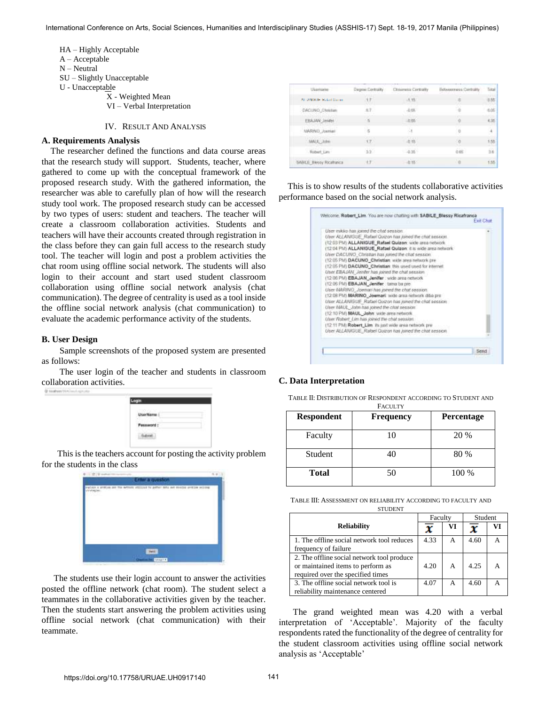HA – Highly Acceptable A – Acceptable N – Neutral SU – Slightly Unacceptable U - Unacceptable X - Weighted Mean VI – Verbal Interpretation

# IV. RESULT AND ANALYSIS

## **A. Requirements Analysis**

The researcher defined the functions and data course areas that the research study will support. Students, teacher, where gathered to come up with the conceptual framework of the proposed research study. With the gathered information, the researcher was able to carefully plan of how will the research study tool work. The proposed research study can be accessed by two types of users: student and teachers. The teacher will create a classroom collaboration activities. Students and teachers will have their accounts created through registration in the class before they can gain full access to the research study tool. The teacher will login and post a problem activities the chat room using offline social network. The students will also login to their account and start used student classroom collaboration using offline social network analysis (chat communication). The degree of centrality is used as a tool inside the offline social network analysis (chat communication) to evaluate the academic performance activity of the students.

#### **B. User Design**

 Sample screenshots of the proposed system are presented as follows:

 The user login of the teacher and students in classroom collaboration activities. 00 touchest travels

 This is the teachers account for posting the activity problem for the students in the class



 The students use their login account to answer the activities posted the offline network (chat room). The student select a teammates in the collaborative activities given by the teacher. Then the students start answering the problem activities using offline social network (chat communication) with their teammate.

| Username:                 | Degree Centrality         | Chiverette Centrality | Behyeemess Centrality | Tistal |
|---------------------------|---------------------------|-----------------------|-----------------------|--------|
| ALLANDIDE Distant Gaucian | $+ +$                     | $-1.15$               | 市西                    | 8.85   |
| DACUNO Christian          | k 7                       | 0.68                  |                       | 8.05   |
| EBAJAN Jerates            | 18.                       | 双条                    | a                     | 4.35   |
| MARNO Joemer              | $\overline{\mathfrak{m}}$ | 2i                    | ü                     |        |
| MALL John                 | ir.                       | $-0.18$               | 0                     | 1.55   |
| Robert Lim                | 33.                       | $-0.26$               | 0.05                  | se l   |
| SABILE Blessy Ricahanca   | $+7$                      | $-0.18$               | Na                    | 135    |

This is to show results of the students collaborative activities performance based on the social network analysis.

| Giser mikko has joined the chat session.                                                                            |  |
|---------------------------------------------------------------------------------------------------------------------|--|
| User ALLANIGUE, Rafiel Quizon has joined the chat session.<br>(12.03 PM) ALLANIGUE Rafael Quizon; wide area network |  |
| (12:04 PM) ALLANIGUE_Rafael Quizon: it is wide area network:                                                        |  |
| User DACUNO_Christian has joined the chat session.                                                                  |  |
| (12.05 PM) DACUNO Christian, with area network pre-                                                                 |  |
| (12.05 PM) DACUNO: Christian: this used used for internet                                                           |  |
| User EBAJAN, Jenifer has joined the chat session                                                                    |  |
| (12:06 PM) EBAJAN Jenifer : wide area network                                                                       |  |
| (12:06 PM) EBAJAN Jenifer tama ba pre-                                                                              |  |
| Utier MARINO Joeman has joined the chat session.<br>(12.08 PM) MARINO Journari: wide area network ditio pre-        |  |
| User ALLANIGUE Ratael Quizon has joined the chat session                                                            |  |
| User MAUL, John has joined the chat session.                                                                        |  |
| (12.10 PM) MAUL, John: wide area network                                                                            |  |
| User Robert Lim has joined the chat session.                                                                        |  |
| (12.11 FM) Robert, Lim. Is just wide area network pre-                                                              |  |
| User ALLANGUE. Rakel Quizon has joined the chat sesson.                                                             |  |

## **C. Data Interpretation**

TABLE II: DISTRIBUTION OF RESPONDENT ACCORDING TO STUDENT AND

| <b>Respondent</b> | <b>FACULTY</b><br><b>Frequency</b> | <b>Percentage</b> |
|-------------------|------------------------------------|-------------------|
| Faculty           | 10                                 | 20 %              |
| Student           | 40                                 | 80 %              |
| <b>Total</b>      | 50                                 | 100 %             |

TABLE III: ASSESSMENT ON RELIABILITY ACCORDING TO FACULTY AND **STUDENT** 

|                                            | Faculty |    | Student |    |
|--------------------------------------------|---------|----|---------|----|
| <b>Reliability</b>                         | x       | VI |         | VI |
| 1. The offline social network tool reduces | 4.33    | A  | 4.60    |    |
| frequency of failure                       |         |    |         |    |
| 2. The offline social network tool produce |         |    |         |    |
| or maintained items to perform as          | 4.20    | А  | 4.25    |    |
| required over the specified times          |         |    |         |    |
| 3. The offline social network tool is      | 4.07    | А  | 4.60    |    |
| reliability maintenance centered           |         |    |         |    |

 The grand weighted mean was 4.20 with a verbal interpretation of 'Acceptable'. Majority of the faculty respondents rated the functionality of the degree of centrality for the student classroom activities using offline social network analysis as 'Acceptable'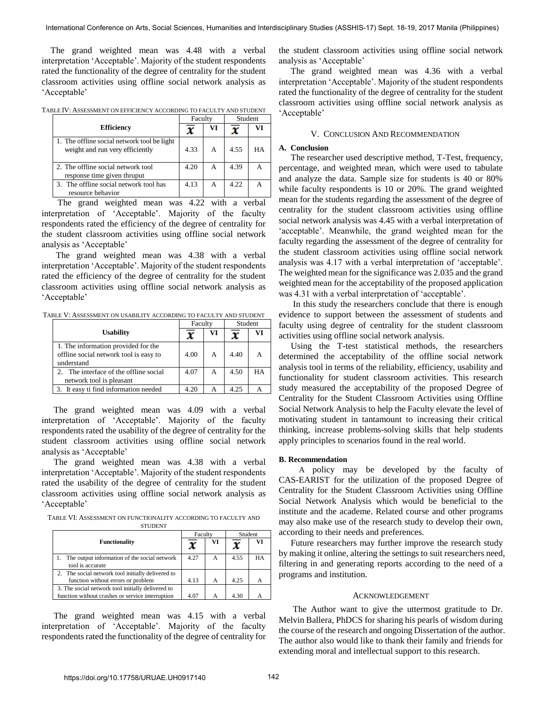The grand weighted mean was 4.48 with a verbal interpretation 'Acceptable'. Majority of the student respondents rated the functionality of the degree of centrality for the student classroom activities using offline social network analysis as ‗Acceptable'

TABLE IV: ASSESSMENT ON EFFICIENCY ACCORDING TO FACULTY AND STUDENT

|                                                                                | Faculty |    | Student |    |
|--------------------------------------------------------------------------------|---------|----|---------|----|
| <b>Efficiency</b>                                                              |         | VI |         |    |
| 1. The offline social network tool be light<br>weight and run very efficiently | 4.33    | A  | 4.55    | HА |
| 2. The offline social network tool<br>response time given thruput              | 4.20    | А  | 4.39    |    |
| 3. The offline social network tool has<br>resource behavior                    | 4.13    | А  | 4.22    |    |

The grand weighted mean was 4.22 with a verbal interpretation of 'Acceptable'. Majority of the faculty respondents rated the efficiency of the degree of centrality for the student classroom activities using offline social network analysis as 'Acceptable'

 The grand weighted mean was 4.38 with a verbal interpretation 'Acceptable'. Majority of the student respondents rated the efficiency of the degree of centrality for the student classroom activities using offline social network analysis as ‗Acceptable'

TABLE V: ASSESSMENT ON USABILITY ACCORDING TO FACULTY AND STUDENT

|                                                                                             | Faculty |   | Student |    |
|---------------------------------------------------------------------------------------------|---------|---|---------|----|
| <b>Usability</b>                                                                            |         |   |         | VI |
| 1. The information provided for the<br>offline social network tool is easy to<br>understand | 4.00    | А | 4.40    | A  |
| 2. The interface of the offline social<br>network tool is pleasant                          | 4.07    | А | 4.50    | HA |
| 3. It easy ti find information needed                                                       | 4.20    |   | 4.25    |    |

The grand weighted mean was 4.09 with a verbal interpretation of 'Acceptable'. Majority of the faculty respondents rated the usability of the degree of centrality for the student classroom activities using offline social network analysis as 'Acceptable'

The grand weighted mean was 4.38 with a verbal interpretation 'Acceptable'. Majority of the student respondents rated the usability of the degree of centrality for the student classroom activities using offline social network analysis as ‗Acceptable'

TABLE VI: ASSESSMENT ON FUNCTIONALITY ACCORDING TO FACULTY AND **STUDENT** 

|                                                   |      | Faculty |      | Student   |  |
|---------------------------------------------------|------|---------|------|-----------|--|
| <b>Functionality</b>                              | x    | VI      |      | VI        |  |
| 1. The output information of the social network   | 4.27 | A       | 4.55 | <b>HA</b> |  |
| tool is accurate                                  |      |         |      |           |  |
| 2. The social network tool initially delivered to |      |         |      |           |  |
| function without errors or problem                | 4.13 | А       | 4.25 |           |  |
| 3. The social network tool initially delivered to |      |         |      |           |  |
| function without crashes or service interruption  | 4.07 | А       | 4.30 |           |  |

The grand weighted mean was 4.15 with a verbal interpretation of ‗Acceptable'. Majority of the faculty respondents rated the functionality of the degree of centrality for the student classroom activities using offline social network analysis as 'Acceptable'

The grand weighted mean was 4.36 with a verbal interpretation 'Acceptable'. Majority of the student respondents rated the functionality of the degree of centrality for the student classroom activities using offline social network analysis as ‗Acceptable'

## V. CONCLUSION AND RECOMMENDATION

## **A. Conclusion**

The researcher used descriptive method, T-Test, frequency, percentage, and weighted mean, which were used to tabulate and analyze the data. Sample size for students is 40 or 80% while faculty respondents is 10 or 20%. The grand weighted mean for the students regarding the assessment of the degree of centrality for the student classroom activities using offline social network analysis was 4.45 with a verbal interpretation of 'acceptable'. Meanwhile, the grand weighted mean for the faculty regarding the assessment of the degree of centrality for the student classroom activities using offline social network analysis was 4.17 with a verbal interpretation of 'acceptable'. The weighted mean for the significance was 2.035 and the grand weighted mean for the acceptability of the proposed application was 4.31 with a verbal interpretation of 'acceptable'.

 In this study the researchers conclude that there is enough evidence to support between the assessment of students and faculty using degree of centrality for the student classroom activities using offline social network analysis.

Using the T-test statistical methods, the researchers determined the acceptability of the offline social network analysis tool in terms of the reliability, efficiency, usability and functionality for student classroom activities. This research study measured the acceptability of the proposed Degree of Centrality for the Student Classroom Activities using Offline Social Network Analysis to help the Faculty elevate the level of motivating student in tantamount to increasing their critical thinking, increase problems-solving skills that help students apply principles to scenarios found in the real world.

#### **B. Recommendation**

 A policy may be developed by the faculty of CAS-EARIST for the utilization of the proposed Degree of Centrality for the Student Classroom Activities using Offline Social Network Analysis which would be beneficial to the institute and the academe. Related course and other programs may also make use of the research study to develop their own, according to their needs and preferences.

Future researchers may further improve the research study by making it online, altering the settings to suit researchers need, filtering in and generating reports according to the need of a programs and institution.

#### ACKNOWLEDGEMENT

The Author want to give the uttermost gratitude to Dr. Melvin Ballera, PhDCS for sharing his pearls of wisdom during the course of the research and ongoing Dissertation of the author. The author also would like to thank their family and friends for extending moral and intellectual support to this research.